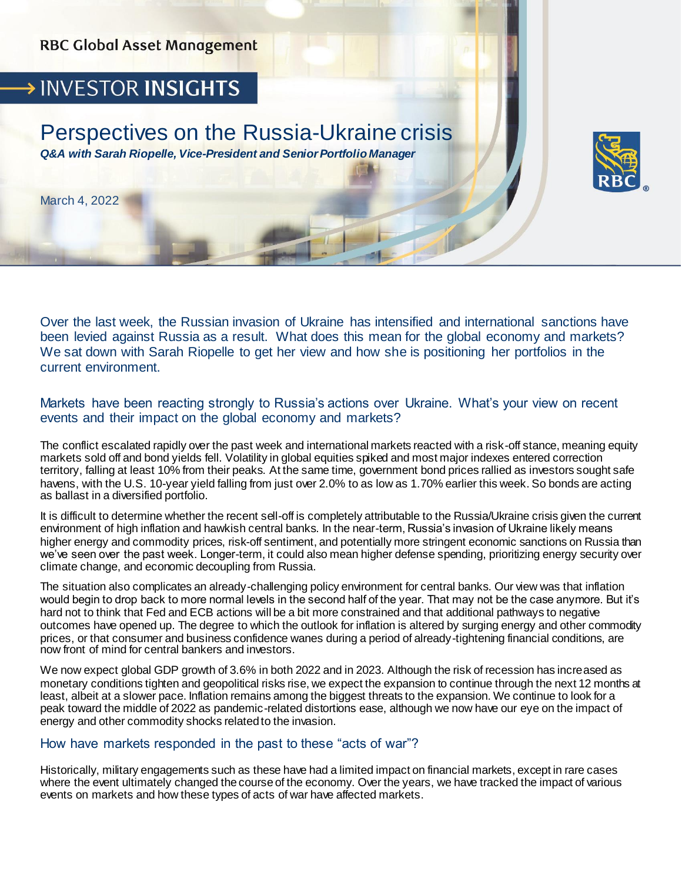

# > INVESTOR INSIGHTS

## Perspectives on the Russia-Ukraine crisis *Q&A with Sarah Riopelle, Vice-President and Senior Portfolio Manager*

March 4, 2022

Over the last week, the Russian invasion of Ukraine has intensified and international sanctions have been levied against Russia as a result. What does this mean for the global economy and markets? We sat down with Sarah Riopelle to get her view and how she is positioning her portfolios in the current environment.

Markets have been reacting strongly to Russia's actions over Ukraine. What's your view on recent events and their impact on the global economy and markets?

The conflict escalated rapidly over the past week and international markets reacted with a risk-off stance, meaning equity markets sold off and bond yields fell. Volatility in global equities spiked and most major indexes entered correction territory, falling at least 10% from their peaks. At the same time, government bond prices rallied as investors sought safe havens, with the U.S. 10-year yield falling from just over 2.0% to as low as 1.70% earlier this week. So bonds are acting as ballast in a diversified portfolio.

It is difficult to determine whether the recent sell-off is completely attributable to the Russia/Ukraine crisis given the current environment of high inflation and hawkish central banks. In the near-term, Russia's invasion of Ukraine likely means higher energy and commodity prices, risk-off sentiment, and potentially more stringent economic sanctions on Russia than we've seen over the past week. Longer-term, it could also mean higher defense spending, prioritizing energy security over climate change, and economic decoupling from Russia.

The situation also complicates an already-challenging policy environment for central banks. Our view was that inflation would begin to drop back to more normal levels in the second half of the year. That may not be the case anymore. But it's hard not to think that Fed and ECB actions will be a bit more constrained and that additional pathways to negative outcomes have opened up. The degree to which the outlook for inflation is altered by surging energy and other commodity prices, or that consumer and business confidence wanes during a period of already-tightening financial conditions, are now front of mind for central bankers and investors.

We now expect global GDP growth of 3.6% in both 2022 and in 2023. Although the risk of recession has increased as monetary conditions tighten and geopolitical risks rise, we expect the expansion to continue through the next 12 months at least, albeit at a slower pace. Inflation remains among the biggest threats to the expansion. We continue to look for a peak toward the middle of 2022 as pandemic-related distortions ease, although we now have our eye on the impact of energy and other commodity shocks related to the invasion.

#### How have markets responded in the past to these "acts of war"?

Historically, military engagements such as these have had a limited impact on financial markets, except in rare cases where the event ultimately changed the course of the economy. Over the years, we have tracked the impact of various events on markets and how these types of acts of war have affected markets.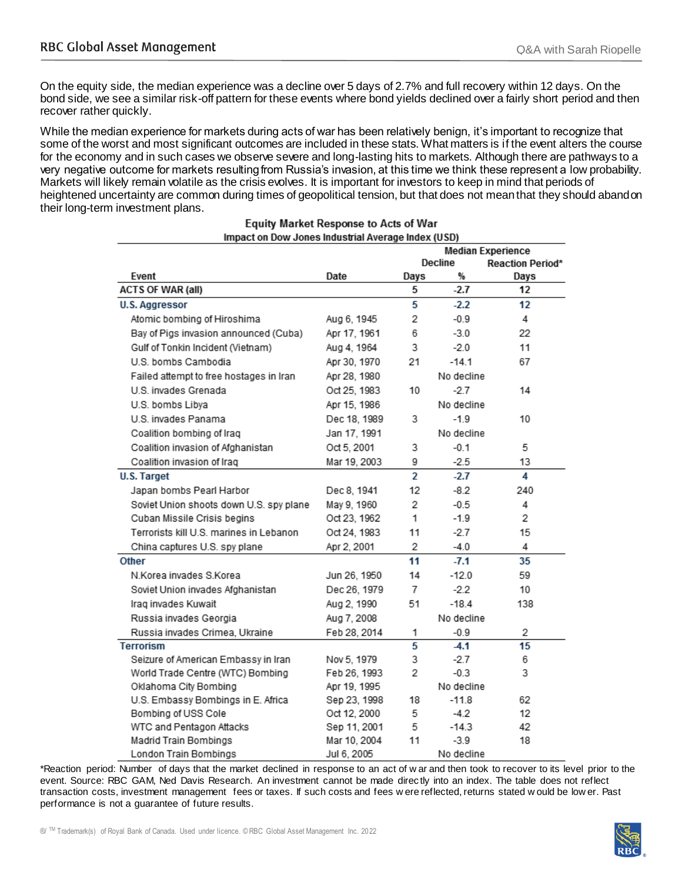On the equity side, the median experience was a decline over 5 days of 2.7% and full recovery within 12 days. On the bond side, we see a similar risk-off pattern for these events where bond yields declined over a fairly short period and then recover rather quickly.

While the median experience for markets during acts of war has been relatively benign, it's important to recognize that some of the worst and most significant outcomes are included in these stats. What matters is if the event alters the course for the economy and in such cases we observe severe and long-lasting hits to markets. Although there are pathways to a very negative outcome for markets resulting from Russia's invasion, at this time we think these represent a low probability. Markets will likely remain volatile as the crisis evolves. It is important for investors to keep in mind that periods of heightened uncertainty are common during times of geopolitical tension, but that does not mean that they should abandon their long-term investment plans.

|                                         |              | <b>Median Experience</b> |            |                         |
|-----------------------------------------|--------------|--------------------------|------------|-------------------------|
|                                         |              |                          | Decline    | <b>Reaction Period*</b> |
| Event                                   | Date         | Days                     | %          | Days                    |
| <b>ACTS OF WAR (all)</b>                |              | 5                        | $-2.7$     | 12                      |
| <b>U.S. Aggressor</b>                   |              | 5                        | $-2.2$     | 12                      |
| Atomic bombing of Hiroshima             | Aug 6, 1945  | 2                        | $-0.9$     | 4                       |
| Bay of Pigs invasion announced (Cuba)   | Apr 17, 1961 | 6                        | $-3.0$     | 22                      |
| Gulf of Tonkin Incident (Vietnam)       | Aug 4, 1964  | 3                        | $-2.0$     | 11                      |
| U.S. bombs Cambodia                     | Apr 30, 1970 | 21                       | $-14.1$    | 67                      |
| Failed attempt to free hostages in Iran | Apr 28, 1980 |                          | No decline |                         |
| U.S. invades Grenada                    | Oct 25, 1983 | 10                       | $-2.7$     | 14                      |
| U.S. bombs Libya                        | Apr 15, 1986 |                          | No decline |                         |
| U.S. invades Panama                     | Dec 18, 1989 | 3                        | $-1.9$     | 10                      |
| Coalition bombing of Iraq               | Jan 17, 1991 |                          | No decline |                         |
| Coalition invasion of Afghanistan       | Oct 5, 2001  | 3                        | $-0.1$     | 5                       |
| Coalition invasion of Iraq              | Mar 19, 2003 | 9                        | $-2.5$     | 13                      |
| <b>U.S. Target</b>                      |              | $\overline{2}$           | $-2.7$     | 4                       |
| Japan bombs Pearl Harbor                | Dec 8, 1941  | 12                       | $-8.2$     | 240                     |
| Soviet Union shoots down U.S. spy plane | May 9, 1960  | 2                        | $-0.5$     | 4                       |
| Cuban Missile Crisis begins             | Oct 23, 1962 | 1                        | $-1.9$     | 2                       |
| Terrorists kill U.S. marines in Lebanon | Oct 24, 1983 | 11                       | $-2.7$     | 15                      |
| China captures U.S. spy plane           | Apr 2, 2001  | 2                        | $-4.0$     | 4                       |
| <b>Other</b>                            |              | 11                       | $-7.1$     | 35                      |
| N Korea invades S Korea                 | Jun 26, 1950 | 14                       | $-12.0$    | 59                      |
| Soviet Union invades Afghanistan        | Dec 26, 1979 | 7                        | -2.2       | 10                      |
| Iraq invades Kuwait                     | Aug 2, 1990  | 51                       | $-18.4$    | 138                     |
| Russia invades Georgia                  | Aug 7, 2008  |                          | No decline |                         |
| Russia invades Crimea, Ukraine          | Feb 28, 2014 | 1                        | $-0.9$     | 2                       |
| <b>Terrorism</b>                        |              | 5                        | $-4.1$     | 15                      |
| Seizure of American Embassy in Iran     | Nov 5, 1979  | 3                        | -2.7       | 6                       |
| World Trade Centre (WTC) Bombing        | Feb 26, 1993 | 2                        | $-0.3$     | 3                       |
| Oklahoma City Bombing                   | Apr 19, 1995 |                          | No decline |                         |
| U.S. Embassy Bombings in E. Africa      | Sep 23, 1998 | 18                       | $-11.8$    | 62                      |
| Bombing of USS Cole                     | Oct 12, 2000 | 5                        | -4.2       | 12                      |
| WTC and Pentagon Attacks                | Sep 11, 2001 | 5                        | $-14.3$    | 42                      |
| Madrid Train Bombings                   | Mar 10, 2004 | 11                       | $-3.9$     | 18                      |
| London Train Bombings                   | Jul 6, 2005  |                          | No decline |                         |

#### **Equity Market Response to Acts of War** Impact on Dow Jones Industrial Average Index (USD)

\*Reaction period: Number of days that the market declined in response to an act of w ar and then took to recover to its level prior to the event. Source: RBC GAM, Ned Davis Research. An investment cannot be made direc tly into an index. The table does not reflect transaction costs, investment management fees or taxes. If such costs and fees w ere reflected, returns stated w ould be low er. Past performance is not a guarantee of future results.